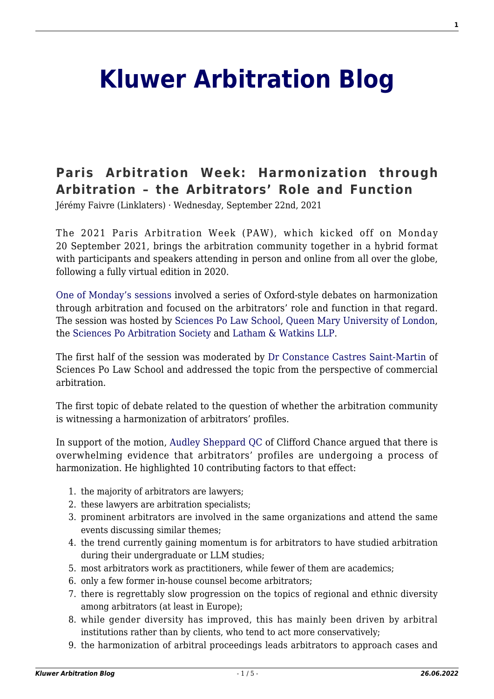## **[Kluwer Arbitration Blog](http://arbitrationblog.kluwerarbitration.com/)**

## **[Paris Arbitration Week: Harmonization through](http://arbitrationblog.kluwerarbitration.com/2021/09/22/paris-arbitration-week-harmonization-through-arbitration-the-arbitrators-role-and-function/) [Arbitration – the Arbitrators' Role and Function](http://arbitrationblog.kluwerarbitration.com/2021/09/22/paris-arbitration-week-harmonization-through-arbitration-the-arbitrators-role-and-function/)**

Jérémy Faivre (Linklaters) · Wednesday, September 22nd, 2021

The 2021 Paris Arbitration Week (PAW), which kicked off on Monday 20 September 2021, brings the arbitration community together in a hybrid format with participants and speakers attending in person and online from all over the globe. following a fully virtual edition in 2020.

[One of Monday's sessions](https://www.eventbrite.fr/e/harmonization-through-arbitration-the-arbitrators-role-and-function-tickets-166395618775) involved a series of Oxford-style debates on harmonization through arbitration and focused on the arbitrators' role and function in that regard. The session was hosted by [Sciences Po Law School](https://www.sciencespo.fr/ecole-de-droit/en.html), [Queen Mary University of London](https://www.qmul.ac.uk/), the [Sciences Po Arbitration Society](https://sciencespoarbitrationsociety.com/) and [Latham & Watkins LLP](https://www.lw.com/).

The first half of the session was moderated by [Dr Constance Castres Saint-Martin](https://www.linkedin.com/in/constance-castres-saint-martin-dr-93047a63/) of Sciences Po Law School and addressed the topic from the perspective of commercial arbitration.

The first topic of debate related to the question of whether the arbitration community is witnessing a harmonization of arbitrators' profiles.

In support of the motion, [Audley Sheppard QC](https://www.cliffordchance.com/people_and_places/people/partners/gb/audley_sheppard.html) of Clifford Chance argued that there is overwhelming evidence that arbitrators' profiles are undergoing a process of harmonization. He highlighted 10 contributing factors to that effect:

- 1. the majority of arbitrators are lawyers;
- 2. these lawyers are arbitration specialists;
- 3. prominent arbitrators are involved in the same organizations and attend the same events discussing similar themes;
- 4. the trend currently gaining momentum is for arbitrators to have studied arbitration during their undergraduate or LLM studies;
- 5. most arbitrators work as practitioners, while fewer of them are academics;
- 6. only a few former in-house counsel become arbitrators;
- 7. there is regrettably slow progression on the topics of regional and ethnic diversity among arbitrators (at least in Europe);
- 8. while gender diversity has improved, this has mainly been driven by arbitral institutions rather than by clients, who tend to act more conservatively;
- 9. the harmonization of arbitral proceedings leads arbitrators to approach cases and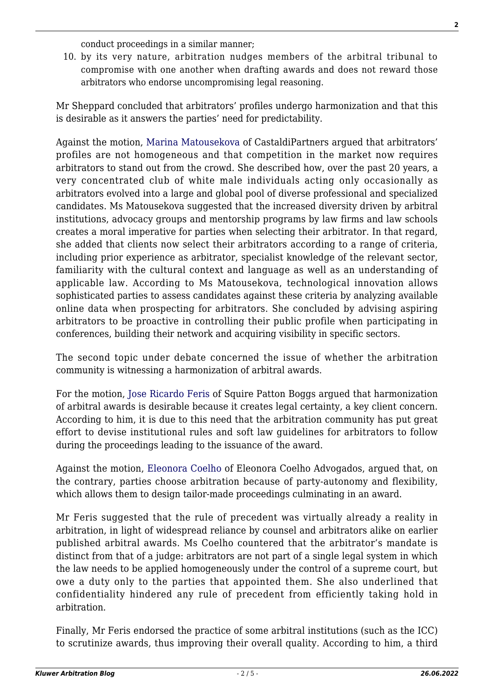conduct proceedings in a similar manner;

10. by its very nature, arbitration nudges members of the arbitral tribunal to compromise with one another when drafting awards and does not reward those arbitrators who endorse uncompromising legal reasoning.

Mr Sheppard concluded that arbitrators' profiles undergo harmonization and that this is desirable as it answers the parties' need for predictability.

Against the motion, [Marina Matousekova](https://www.castaldipartners.com/en/matousekova_marina/) of CastaldiPartners argued that arbitrators' profiles are not homogeneous and that competition in the market now requires arbitrators to stand out from the crowd. She described how, over the past 20 years, a very concentrated club of white male individuals acting only occasionally as arbitrators evolved into a large and global pool of diverse professional and specialized candidates. Ms Matousekova suggested that the increased diversity driven by arbitral institutions, advocacy groups and mentorship programs by law firms and law schools creates a moral imperative for parties when selecting their arbitrator. In that regard, she added that clients now select their arbitrators according to a range of criteria, including prior experience as arbitrator, specialist knowledge of the relevant sector, familiarity with the cultural context and language as well as an understanding of applicable law. According to Ms Matousekova, technological innovation allows sophisticated parties to assess candidates against these criteria by analyzing available online data when prospecting for arbitrators. She concluded by advising aspiring arbitrators to be proactive in controlling their public profile when participating in conferences, building their network and acquiring visibility in specific sectors.

The second topic under debate concerned the issue of whether the arbitration community is witnessing a harmonization of arbitral awards.

For the motion, [Jose Ricardo Feris](https://www.squirepattonboggs.com/en/professionals/f/feris-jose) of Squire Patton Boggs argued that harmonization of arbitral awards is desirable because it creates legal certainty, a key client concern. According to him, it is due to this need that the arbitration community has put great effort to devise institutional rules and soft law guidelines for arbitrators to follow during the proceedings leading to the issuance of the award.

Against the motion, [Eleonora Coelho](http://eleonoracoelho.com.br/our-team/?lang=en) of Eleonora Coelho Advogados, argued that, on the contrary, parties choose arbitration because of party-autonomy and flexibility, which allows them to design tailor-made proceedings culminating in an award.

Mr Feris suggested that the rule of precedent was virtually already a reality in arbitration, in light of widespread reliance by counsel and arbitrators alike on earlier published arbitral awards. Ms Coelho countered that the arbitrator's mandate is distinct from that of a judge: arbitrators are not part of a single legal system in which the law needs to be applied homogeneously under the control of a supreme court, but owe a duty only to the parties that appointed them. She also underlined that confidentiality hindered any rule of precedent from efficiently taking hold in arbitration.

Finally, Mr Feris endorsed the practice of some arbitral institutions (such as the ICC) to scrutinize awards, thus improving their overall quality. According to him, a third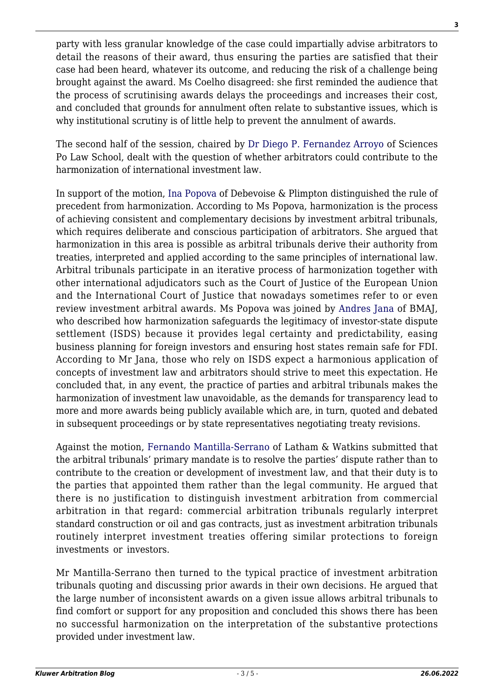party with less granular knowledge of the case could impartially advise arbitrators to detail the reasons of their award, thus ensuring the parties are satisfied that their case had been heard, whatever its outcome, and reducing the risk of a challenge being brought against the award. Ms Coelho disagreed: she first reminded the audience that the process of scrutinising awards delays the proceedings and increases their cost, and concluded that grounds for annulment often relate to substantive issues, which is why institutional scrutiny is of little help to prevent the annulment of awards.

The second half of the session, chaired by [Dr Diego P. Fernandez Arroyo](http://diegofernandezarroyo.net/) of Sciences Po Law School, dealt with the question of whether arbitrators could contribute to the harmonization of international investment law.

In support of the motion, [Ina Popova](https://www.debevoise.com/inapopova) of Debevoise & Plimpton distinguished the rule of precedent from harmonization. According to Ms Popova, harmonization is the process of achieving consistent and complementary decisions by investment arbitral tribunals, which requires deliberate and conscious participation of arbitrators. She argued that harmonization in this area is possible as arbitral tribunals derive their authority from treaties, interpreted and applied according to the same principles of international law. Arbitral tribunals participate in an iterative process of harmonization together with other international adjudicators such as the Court of Justice of the European Union and the International Court of Justice that nowadays sometimes refer to or even review investment arbitral awards. Ms Popova was joined by [Andres Jana](https://www.bmaj.cl/team/andres-jana/) of BMAJ, who described how harmonization safeguards the legitimacy of investor-state dispute settlement (ISDS) because it provides legal certainty and predictability, easing business planning for foreign investors and ensuring host states remain safe for FDI. According to Mr Jana, those who rely on ISDS expect a harmonious application of concepts of investment law and arbitrators should strive to meet this expectation. He concluded that, in any event, the practice of parties and arbitral tribunals makes the harmonization of investment law unavoidable, as the demands for transparency lead to more and more awards being publicly available which are, in turn, quoted and debated in subsequent proceedings or by state representatives negotiating treaty revisions.

Against the motion, [Fernando Mantilla-Serrano](https://www.lw.com/people/fernando-mantilla-serrano) of Latham & Watkins submitted that the arbitral tribunals' primary mandate is to resolve the parties' dispute rather than to contribute to the creation or development of investment law, and that their duty is to the parties that appointed them rather than the legal community. He argued that there is no justification to distinguish investment arbitration from commercial arbitration in that regard: commercial arbitration tribunals regularly interpret standard construction or oil and gas contracts, just as investment arbitration tribunals routinely interpret investment treaties offering similar protections to foreign investments or investors.

Mr Mantilla-Serrano then turned to the typical practice of investment arbitration tribunals quoting and discussing prior awards in their own decisions. He argued that the large number of inconsistent awards on a given issue allows arbitral tribunals to find comfort or support for any proposition and concluded this shows there has been no successful harmonization on the interpretation of the substantive protections provided under investment law.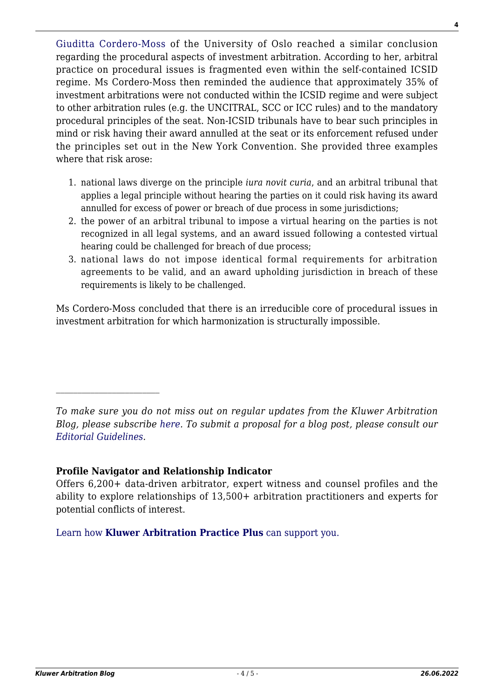[Giuditta Cordero-Moss](https://www.jus.uio.no/ifp/english/people/aca/giudittm/) of the University of Oslo reached a similar conclusion regarding the procedural aspects of investment arbitration. According to her, arbitral practice on procedural issues is fragmented even within the self-contained ICSID regime. Ms Cordero-Moss then reminded the audience that approximately 35% of investment arbitrations were not conducted within the ICSID regime and were subject to other arbitration rules (e.g. the UNCITRAL, SCC or ICC rules) and to the mandatory procedural principles of the seat. Non-ICSID tribunals have to bear such principles in mind or risk having their award annulled at the seat or its enforcement refused under the principles set out in the New York Convention. She provided three examples where that risk arose:

- 1. national laws diverge on the principle *iura novit curia*, and an arbitral tribunal that applies a legal principle without hearing the parties on it could risk having its award annulled for excess of power or breach of due process in some jurisdictions;
- 2. the power of an arbitral tribunal to impose a virtual hearing on the parties is not recognized in all legal systems, and an award issued following a contested virtual hearing could be challenged for breach of due process;
- 3. national laws do not impose identical formal requirements for arbitration agreements to be valid, and an award upholding jurisdiction in breach of these requirements is likely to be challenged.

Ms Cordero-Moss concluded that there is an irreducible core of procedural issues in investment arbitration for which harmonization is structurally impossible.

## **Profile Navigator and Relationship Indicator**

Offers 6,200+ data-driven arbitrator, expert witness and counsel profiles and the ability to explore relationships of 13,500+ arbitration practitioners and experts for potential conflicts of interest.

[Learn how](https://www.wolterskluwer.com/en/solutions/kluwerarbitration/practiceplus?utm_source=arbitrationblog&utm_medium=articleCTA&utm_campaign=article-banner) **[Kluwer Arbitration Practice Plus](https://www.wolterskluwer.com/en/solutions/kluwerarbitration/practiceplus?utm_source=arbitrationblog&utm_medium=articleCTA&utm_campaign=article-banner)** [can support you.](https://www.wolterskluwer.com/en/solutions/kluwerarbitration/practiceplus?utm_source=arbitrationblog&utm_medium=articleCTA&utm_campaign=article-banner)

*To make sure you do not miss out on regular updates from the Kluwer Arbitration Blog, please subscribe [here](http://arbitrationblog.kluwerarbitration.com/newsletter/). To submit a proposal for a blog post, please consult our [Editorial Guidelines.](http://arbitrationblog.kluwerarbitration.com/editorial-guidelines/)*